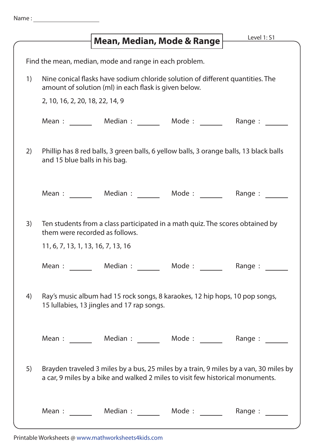## **Mean, Median, Mode & Range** Family 2011

|    | Mean, Median, Mode & Kange                                                                                                                                                                                                     |
|----|--------------------------------------------------------------------------------------------------------------------------------------------------------------------------------------------------------------------------------|
|    | Find the mean, median, mode and range in each problem.                                                                                                                                                                         |
| 1) | Nine conical flasks have sodium chloride solution of different quantities. The<br>amount of solution (ml) in each flask is given below.                                                                                        |
|    | 2, 10, 16, 2, 20, 18, 22, 14, 9                                                                                                                                                                                                |
|    | Mean : _________ Median : ________ Mode : _______ Range : ______                                                                                                                                                               |
| 2) | Phillip has 8 red balls, 3 green balls, 6 yellow balls, 3 orange balls, 13 black balls<br>and 15 blue balls in his bag.                                                                                                        |
|    | Mean : Median : Mode : Range : North Range : Range : Range : Range : Range : Range : Range : Range : Range : Range : Range : Range : Range : Range : Range : Range : Range : Range : Range : Range : Range : Range : Range : R |
| 3) | Ten students from a class participated in a math quiz. The scores obtained by<br>them were recorded as follows.                                                                                                                |
|    | 11, 6, 7, 13, 1, 13, 16, 7, 13, 16                                                                                                                                                                                             |
|    | Median :<br>Mode :<br>Mean : the management of the management of the management of the management of the management of the management of $\mathcal{L}$<br>Range :                                                              |
| 4) | Ray's music album had 15 rock songs, 8 karaokes, 12 hip hops, 10 pop songs,<br>15 Iullabies, 13 jingles and 17 rap songs.                                                                                                      |
|    | Mean : _________ Median : ________ Mode : _______ Range : ______                                                                                                                                                               |
| 5) | Brayden traveled 3 miles by a bus, 25 miles by a train, 9 miles by a van, 30 miles by<br>a car, 9 miles by a bike and walked 2 miles to visit few historical monuments.                                                        |
|    | Mean : _________ Median : ________ Mode : _______ Range : ______                                                                                                                                                               |